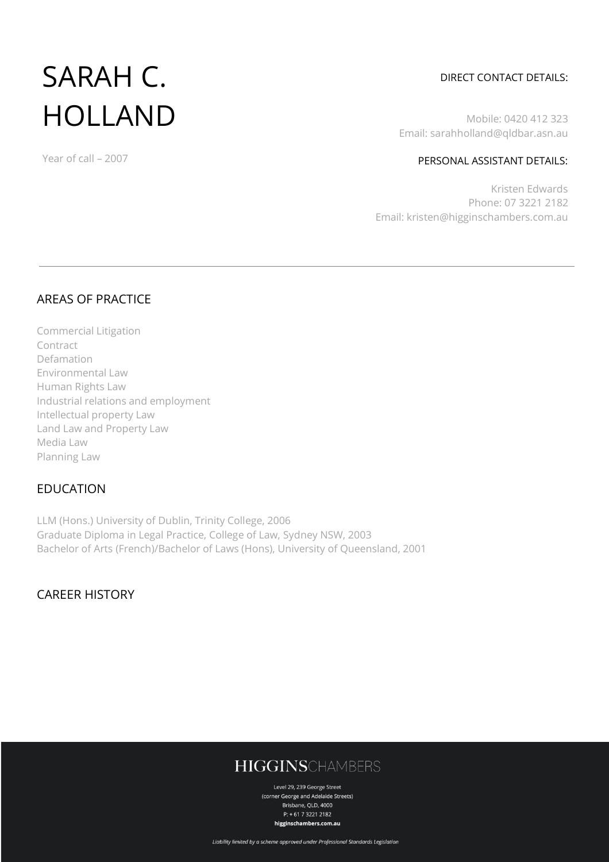# SARAH C. HOLLAND

#### Year of call – 2007

#### DIRECT CONTACT DETAILS:

Mobile: 0420 412 323 Email: sarahholland@qldbar.asn.au

#### PERSONAL ASSISTANT DETAILS:

Kristen Edwards Phone: 07 3221 2182 Email: kristen@higginschambers.com.au

### AREAS OF PRACTICE

Commercial Litigation Contract Defamation Environmental Law Human Rights Law Industrial relations and employment Intellectual property Law Land Law and Property Law Media Law Planning Law

#### EDUCATION

LLM (Hons.) University of Dublin, Trinity College, 2006 Graduate Diploma in Legal Practice, College of Law, Sydney NSW, 2003 Bachelor of Arts (French)/Bachelor of Laws (Hons), University of Queensland, 2001

CAREER HISTORY

# **HIGGINSCHAMBERS**

Level 29, 239 George Street (corner George and Adelaide Streets) Brisbane, QLD, 4000  $P: +61732212182$ higginschambers.com.au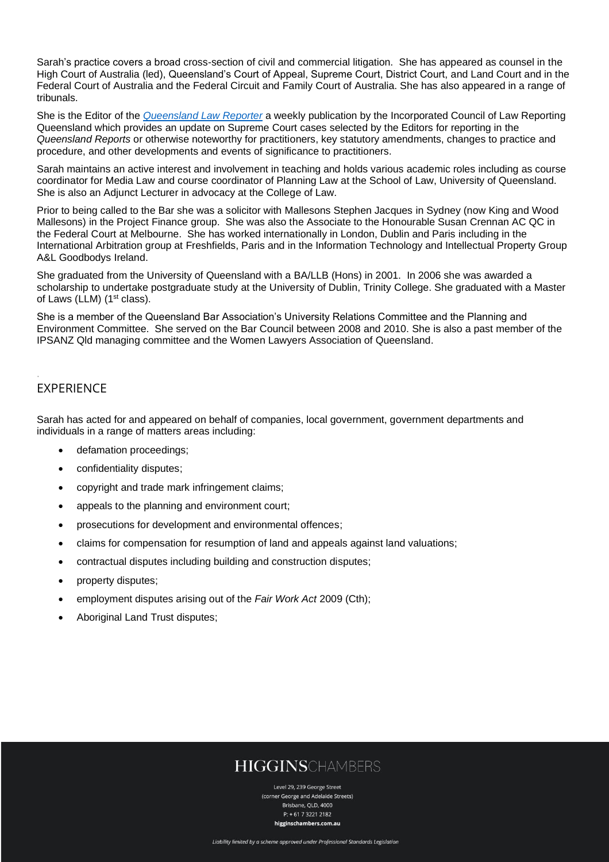Sarah's practice covers a broad cross-section of civil and commercial litigation. She has appeared as counsel in the High Court of Australia (led), Queensland's Court of Appeal, Supreme Court, District Court, and Land Court and in the Federal Court of Australia and the Federal Circuit and Family Court of Australia. She has also appeared in a range of tribunals.

She is the Editor of the *[Queensland Law Reporter](https://www.queenslandreports.com.au/qlr/db-qlr-editions/)* a weekly publication by the Incorporated Council of Law Reporting Queensland which provides an update on Supreme Court cases selected by the Editors for reporting in the *Queensland Reports* or otherwise noteworthy for practitioners, key statutory amendments, changes to practice and procedure, and other developments and events of significance to practitioners.

Sarah maintains an active interest and involvement in teaching and holds various academic roles including as course coordinator for Media Law and course coordinator of Planning Law at the School of Law, University of Queensland. She is also an Adjunct Lecturer in advocacy at the College of Law.

Prior to being called to the Bar she was a solicitor with Mallesons Stephen Jacques in Sydney (now King and Wood Mallesons) in the Project Finance group. She was also the Associate to the Honourable Susan Crennan AC QC in the Federal Court at Melbourne. She has worked internationally in London, Dublin and Paris including in the International Arbitration group at Freshfields, Paris and in the Information Technology and Intellectual Property Group A&L Goodbodys Ireland.

She graduated from the University of Queensland with a BA/LLB (Hons) in 2001. In 2006 she was awarded a scholarship to undertake postgraduate study at the University of Dublin, Trinity College. She graduated with a Master of Laws (LLM) (1<sup>st</sup> class).

She is a member of the Queensland Bar Association's University Relations Committee and the Planning and Environment Committee. She served on the Bar Council between 2008 and 2010. She is also a past member of the IPSANZ Qld managing committee and the Women Lawyers Association of Queensland.

### EXPERIENCE

.

Sarah has acted for and appeared on behalf of companies, local government, government departments and individuals in a range of matters areas including:

- defamation proceedings;
- confidentiality disputes;
- copyright and trade mark infringement claims;
- appeals to the planning and environment court;
- prosecutions for development and environmental offences;
- claims for compensation for resumption of land and appeals against land valuations;
- contractual disputes including building and construction disputes;
- property disputes;
- employment disputes arising out of the *Fair Work Act* 2009 (Cth);
- Aboriginal Land Trust disputes;

## **HIGGINSCHAMBERS**

Level 29, 239 George Street (corner George and Adelaide Streets) Brishane, OLD, 4000  $P: +61732212182$ higginschambers.com.au